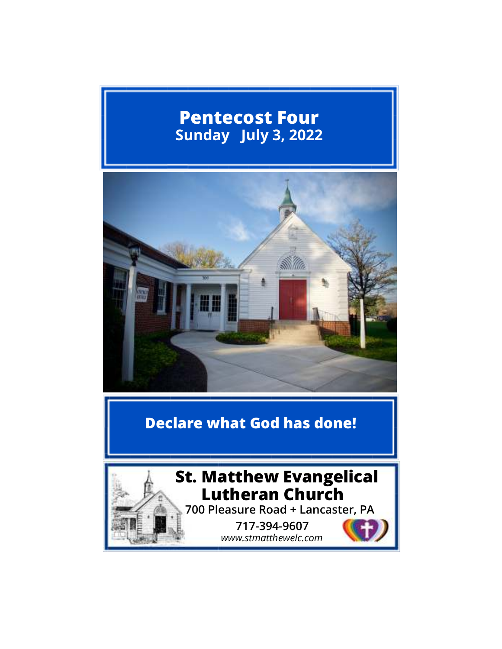# **Pentecost Four Sunday July 3, 2022**



# **Declare what God has done!**



 *www.stmatthewelc.com*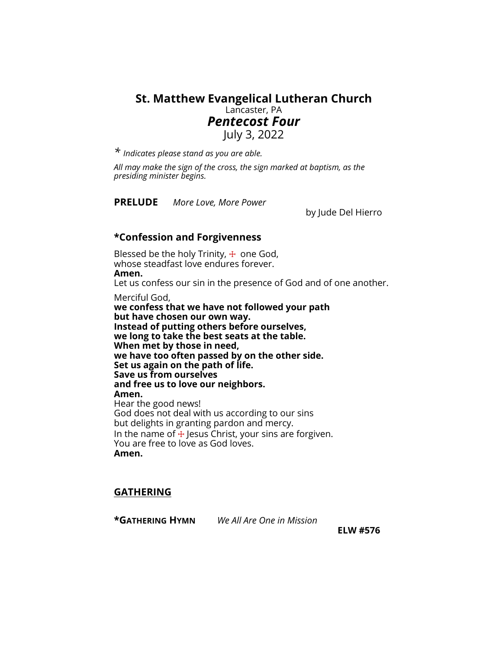## **St. Matthew Evangelical Lutheran Church**  Lancaster, PA *Pentecost Four*  July 3, 2022

*\* Indicates please stand as you are able.* 

 *All may make the sign of the cross, the sign marked at baptism, as the presiding minister begins.* 

**PRELUDE** *More Love, More Power* 

by Jude Del Hierro

### **\*Confession and Forgivenness**

Blessed be the holy Trinity,  $\pm$  one God, whose steadfast love endures forever. **Amen.** Let us confess our sin in the presence of God and of one another.

Merciful God,

**we confess that we have not followed your path but have chosen our own way. Instead of putting others before ourselves, we long to take the best seats at the table. When met by those in need, we have too often passed by on the other side. Set us again on the path of life. Save us from ourselves and free us to love our neighbors. Amen.** Hear the good news! God does not deal with us according to our sins but delights in granting pardon and mercy. In the name of  $+$  Jesus Christ, your sins are forgiven. You are free to love as God loves. **Amen.** 

### **GATHERING**

**\*GATHERING HYMN** *We All Are One in Mission* 

**ELW #576**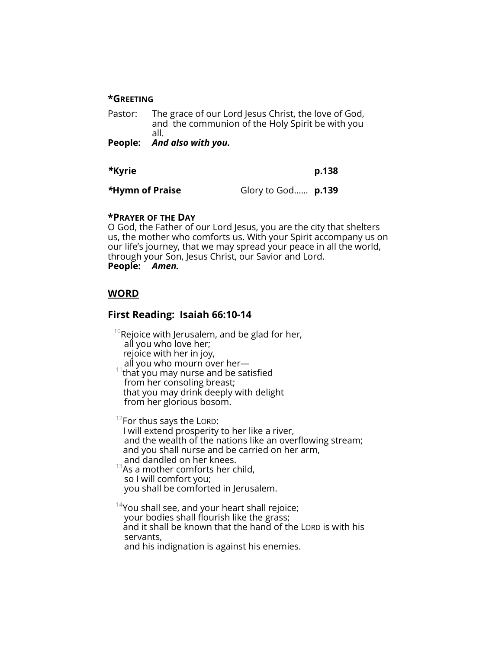#### **\*GREETING**

Pastor: The grace of our Lord Jesus Christ, the love of God, and the communion of the Holy Spirit be with you all.

**People:** *And also with you.* 

*\****Kyrie p.138**

*\****Hymn of Praise** Glory to God…… **p.139** 

#### **\*PRAYER OF THE DAY**

O God, the Father of our Lord Jesus, you are the city that shelters us, the mother who comforts us. With your Spirit accompany us on our life's journey, that we may spread your peace in all the world, through your Son, Jesus Christ, our Savior and Lord. **People:** *Amen.* 

### **WORD**

### **First Reading: Isaiah 66:10-14**

 $10R$ ejoice with Jerusalem, and be glad for her, all you who love her; rejoice with her in joy, all you who mourn over her that you may nurse and be satisfied from her consoling breast; that you may drink deeply with delight from her glorious bosom.

 $12$ For thus says the LORD: I will extend prosperity to her like a river, and the wealth of the nations like an overflowing stream; and you shall nurse and be carried on her arm, and dandled on her knees.

 $13A$ s a mother comforts her child, so I will comfort you; you shall be comforted in Jerusalem.

 $14$ You shall see, and your heart shall rejoice; your bodies shall flourish like the grass; and it shall be known that the hand of the LORD is with his servants, and his indignation is against his enemies.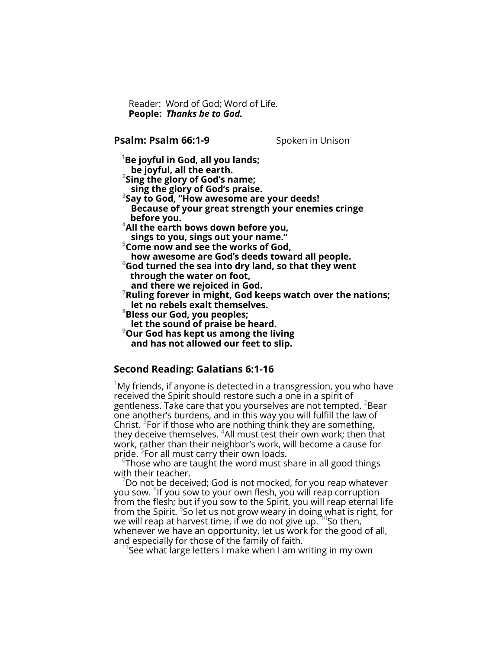Reader: Word of God; Word of Life.  **People:** *Thanks be to God.*

**Psalm: Psalm 66:1-9** Spoken in Unison

**<sup>1</sup>Be joyful in God, all you lands; be joyful, all the earth.** 

**2 Sing the glory of God's name;** 

 **sing the glory of God's praise.** 

**3 Say to God, "How awesome are your deeds! Because of your great strength your enemies cringe before you.** 

**<sup>4</sup>All the earth bows down before you, sings to you, sings out your name."** 

**<sup>5</sup>Come now and see the works of God,** 

 **how awesome are God's deeds toward all people.** 

**<sup>6</sup>God turned the sea into dry land, so that they went through the water on foot,** 

 **and there we rejoiced in God.** 

- **<sup>7</sup>Ruling forever in might, God keeps watch over the nations; let no rebels exalt themselves.**
- **<sup>8</sup>Bless our God, you peoples;**
- **let the sound of praise be heard.**
- **<sup>9</sup>Our God has kept us among the living and has not allowed our feet to slip.**

### **Second Reading: Galatians 6:1-16**

 $1$ My friends, if anyone is detected in a transgression, you who have received the Spirit should restore such a one in a spirit of gentleness. Take care that you yourselves are not tempted.  $\epsilon$ Bear one another's burdens, and in this way you will fulfill the law of Christ. <sup>3</sup>For if those who are nothing think they are something, they deceive themselves. <sup>4</sup>All must test their own work; then that work, rather than their neighbor's work, will become a cause for pride. <sup>5</sup>For all must carry their own loads.

 $^6$ Those who are taught the word must share in all good things with their teacher.

<sup>7</sup>Do not be deceived; God is not mocked, for you reap whatever you sow.  ${}^8$ lf you sow to your own flesh, you will reap corruption from the flesh; but if you sow to the Spirit, you will reap eternal life from the Spirit.  $^{\circ}$ So let us not grow weary in doing what is right, for we will reap at harvest time, if we do not give up.  $\mathrm{^{10}So}$  then, whenever we have an opportunity, let us work for the good of all, and especially for those of the family of faith.

See what large letters I make when I am writing in my own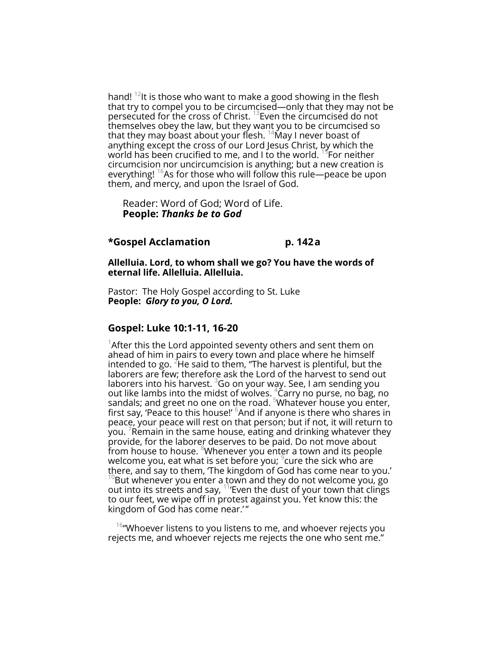hand!  $12$ It is those who want to make a good showing in the flesh that try to compel you to be circumcised—only that they may not be persecuted for the cross of Christ.<sup>13</sup>Even the circumcised do not themselves obey the law, but they want you to be circumcised so that they may boast about your flesh.  $14$ May I never boast of anything except the cross of our Lord Jesus Christ, by which the world has been crucified to me, and I to the world.  $^{15}$ For neither circumcision nor uncircumcision is anything; but a new creation is everything!  $^{16}$ As for those who will follow this rule—peace be upon them, and mercy, and upon the Israel of God.

 Reader: Word of God; Word of Life.  **People:** *Thanks be to God* 

#### **\*Gospel Acclamation p. 142 a**

**Allelluia. Lord, to whom shall we go? You have the words of eternal life. Allelluia. Allelluia.** 

Pastor: The Holy Gospel according to St. Luke **People:** *Glory to you, O Lord.* 

#### **Gospel: Luke 10:1-11, 16-20**

<sup>1</sup>After this the Lord appointed seventy others and sent them on ahead of him in pairs to every town and place where he himself intended to go.  ${}^{2}$ He said to them, "The harvest is plentiful, but the laborers are few; therefore ask the Lord of the harvest to send out laborers into his harvest.  $360$  on your way. See, I am sending you out like lambs into the midst of wolves.  $^{4}_{2}$ Carry no purse, no bag, no sandals; and greet no one on the road.  $5$ Whatever house you enter, first say, 'Peace to this house!' <sup>6</sup>And if anyone is there who shares in peace, your peace will rest on that person; but if not, it will return to you.  $^7$ Remain in the same house, eating and drinking whatever they provide, for the laborer deserves to be paid. Do not move about from house to house. <sup>8</sup>Whenever you enter a town and its people welcome you, eat what is set before you;  $^{\circ}$ cure the sick who are there, and say to them, 'The kingdom of God has come near to you.'  $^{10}$ But whenever you enter a town and they do not welcome you, go out into its streets and say,  $11$  Even the dust of your town that clings to our feet, we wipe off in protest against you. Yet know this: the kingdom of God has come near.'"

 $16$  Whoever listens to you listens to me, and whoever rejects you rejects me, and whoever rejects me rejects the one who sent me."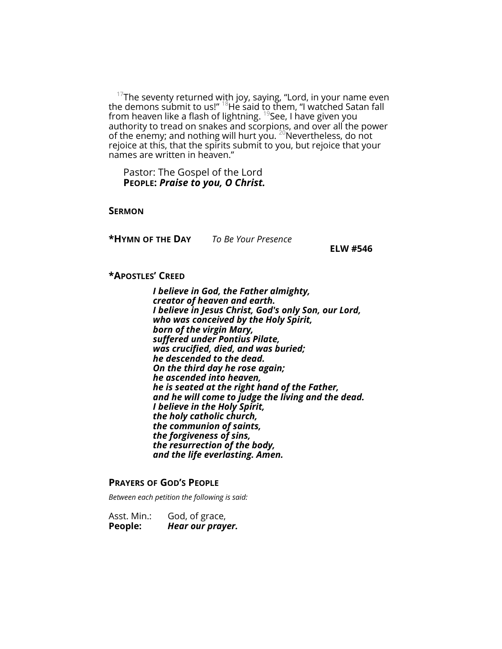$^{17}$ The seventy returned with joy, saying, "Lord, in your name even the demons submit to us!"  $^{18}$ He said to them, "I watched Satan fall from heaven like a flash of lightning.  $19$ See, I have given you authority to tread on snakes and scorpions, and over all the power of the enemy; and nothing will hurt you.  $^{20}$ Nevertheless, do not rejoice at this, that the spirits submit to you, but rejoice that your names are written in heaven."

 Pastor: The Gospel of the Lord  **PEOPLE:** *Praise to you, O Christ.*

**SERMON** 

**\*HYMN OF THE DAY** *To Be Your Presence* 

**ELW #546**

#### **\*APOSTLES' CREED**

*I believe in God, the Father almighty, creator of heaven and earth. I believe in Jesus Christ, God's only Son, our Lord, who was conceived by the Holy Spirit, born of the virgin Mary, suffered under Pontius Pilate, was crucified, died, and was buried; he descended to the dead. On the third day he rose again; he ascended into heaven, he is seated at the right hand of the Father, and he will come to judge the living and the dead. I believe in the Holy Spirit, the holy catholic church, the communion of saints, the forgiveness of sins, the resurrection of the body, and the life everlasting. Amen.* 

#### **PRAYERS OF GOD'S PEOPLE**

*Between each petition the following is said:* 

Asst. Min.: God, of grace, **People:** *Hear our prayer.*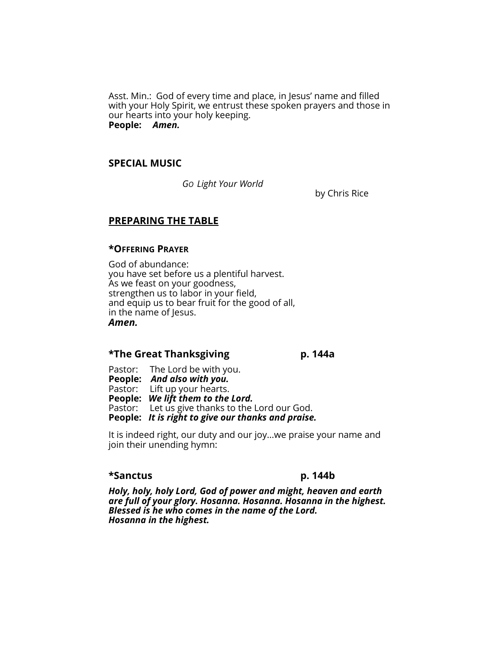Asst. Min.: God of every time and place, in Jesus' name and filled with your Holy Spirit, we entrust these spoken prayers and those in our hearts into your holy keeping. **People:** *Amen.* 

#### **SPECIAL MUSIC**

*GO Light Your World* 

by Chris Rice

#### **PREPARING THE TABLE**

#### **\*OFFERING PRAYER**

God of abundance: you have set before us a plentiful harvest. As we feast on your goodness, strengthen us to labor in your field, and equip us to bear fruit for the good of all, in the name of Jesus. *Amen.*

# \*The Great Thanksgiving p. 144a<br>-

Pastor: The Lord be with you. **People:** *And also with you.* 

Pastor: Lift up your hearts.

**People:** *We lift them to the Lord.*

Pastor: Let us give thanks to the Lord our God.

**People:** *It is right to give our thanks and praise.* 

It is indeed right, our duty and our joy...we praise your name and join their unending hymn:

#### **\*Sanctus p. 144b**

*Holy, holy, holy Lord, God of power and might, heaven and earth are full of your glory. Hosanna. Hosanna. Hosanna in the highest. Blessed is he who comes in the name of the Lord. Hosanna in the highest.*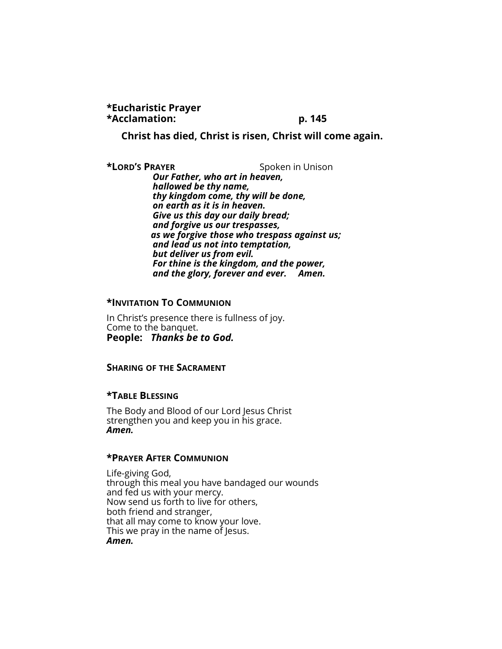**\*Eucharistic Prayer \*Acclamation: p. 145** 

 **Christ has died, Christ is risen, Christ will come again.** 

**\*LORD'S PRAYER** Spoken in Unison *Our Father, who art in heaven, hallowed be thy name, thy kingdom come, thy will be done, on earth as it is in heaven. Give us this day our daily bread; and forgive us our trespasses, as we forgive those who trespass against us; and lead us not into temptation, but deliver us from evil. For thine is the kingdom, and the power, and the glory, forever and ever. Amen.* 

#### **\*INVITATION TO COMMUNION**

In Christ's presence there is fullness of joy. Come to the banquet. **People:** *Thanks be to God.* 

#### **SHARING OF THE SACRAMENT**

#### **\*TABLE BLESSING**

The Body and Blood of our Lord Jesus Christ strengthen you and keep you in his grace. *Amen.* 

#### **\*PRAYER AFTER COMMUNION**

Life-giving God, through this meal you have bandaged our wounds and fed us with your mercy. Now send us forth to live for others, both friend and stranger, that all may come to know your love. This we pray in the name of Jesus. *Amen.*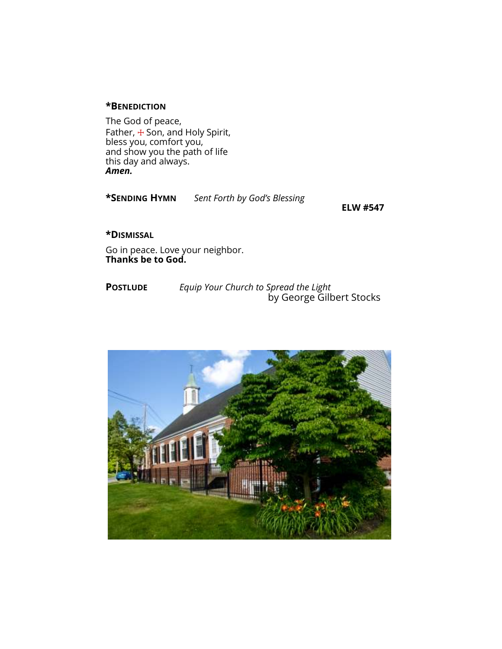#### **\*BENEDICTION**

The God of peace, Father, + Son, and Holy Spirit, bless you, comfort you, and show you the path of life this day and always. *Amen.* 



**ELW #547** 

**\*DISMISSAL**

Go in peace. Love your neighbor. **Thanks be to God.**

**POSTLUDE** *Equip Your Church to Spread the Light* by George Gilbert Stocks

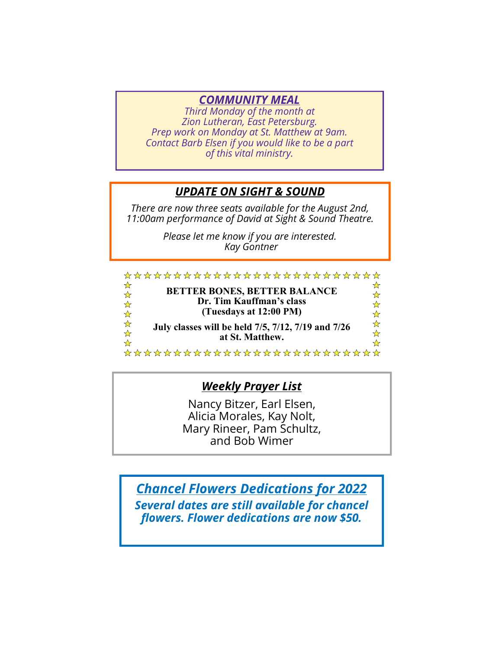# *COMMUNITY MEAL*

*Third Monday of the month at Zion Lutheran, East Petersburg. Prep work on Monday at St. Matthew at 9am. Contact Barb Elsen if you would like to be a part of this vital ministry.* 

# *UPDATE ON SIGHT & SOUND*

*There are now three seats available for the August 2nd, 11:00am performance of David at Sight & Sound Theatre.* 

> *Please let me know if you are interested. Kay Gontner*

|                                                        | **************************                                      |        |
|--------------------------------------------------------|-----------------------------------------------------------------|--------|
| ☆<br>$\frac{1}{\mathcal{N}}$<br>$\frac{1}{\mathbf{r}}$ | <b>BETTER BONES, BETTER BALANCE</b><br>Dr. Tim Kauffman's class | ☆      |
| ☆                                                      | (Tuesdays at 12:00 PM)                                          | ☆<br>☆ |
| ☆☆                                                     | July classes will be held 7/5, 7/12, 7/19 and 7/26              | ☆      |
|                                                        | at St. Matthew.                                                 | ☆      |

\*\*\*\*\*\*\*\*\*\*\*\*\*\*\*\*\*\*\*\*\*\*\*\*\*

# *Weekly Prayer List*

Nancy Bitzer, Earl Elsen, Alicia Morales, Kay Nolt, Mary Rineer, Pam Schultz, and Bob Wimer

*Chancel Flowers Dedications for 2022* 

*Several dates are still available for chancel flowers. Flower dedications are now \$50.*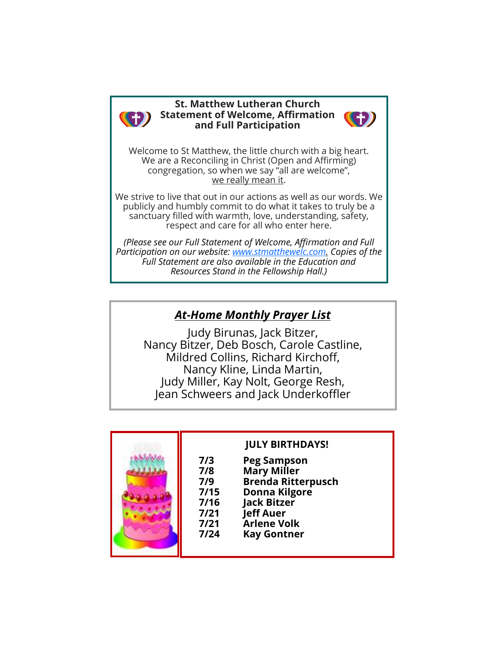

#### **St. Matthew Lutheran Church Statement of Welcome, Affirmation and Full Participation**



Welcome to St Matthew, the little church with a big heart. We are a Reconciling in Christ (Open and Affirming) congregation, so when we say "all are welcome", we really mean it.

We strive to live that out in our actions as well as our words. We publicly and humbly commit to do what it takes to truly be a sanctuary filled with warmth, love, understanding, safety, respect and care for all who enter here.

*(Please see our Full Statement of Welcome, Affirmation and Full Participation on our website: www.stmatthewelc.com. Copies of the Full Statement are also available in the Education and Resources Stand in the Fellowship Hall.)* 

# *At-Home Monthly Prayer List*

Judy Birunas, Jack Bitzer, Nancy Bitzer, Deb Bosch, Carole Castline, Mildred Collins, Richard Kirchoff, Nancy Kline, Linda Martin, Judy Miller, Kay Nolt, George Resh, Jean Schweers and Jack Underkoffler



# **JULY BIRTHDAYS!**

 **7/3 Peg Sampson Mary Miller 7/9 Brenda Ritterpusch 7/15 Donna Kilgore 7/16 Jack Bitzer 7/21 Jeff Auer 7/21 Arlene Volk Kay Gontner**